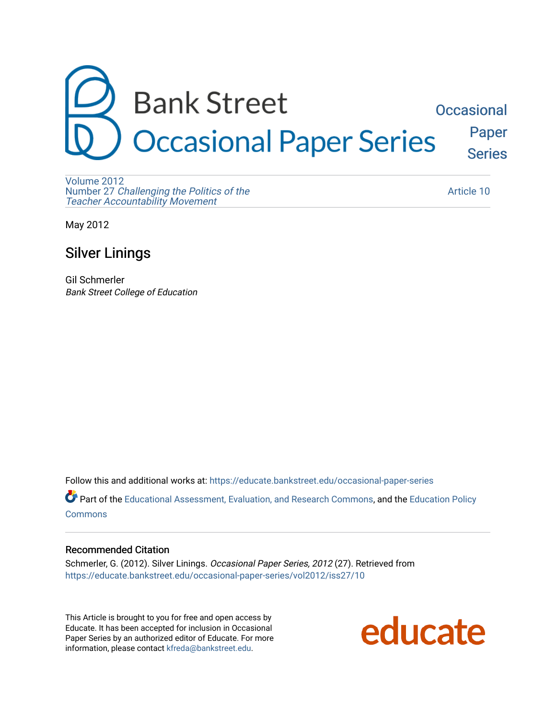

[Volume 2012](https://educate.bankstreet.edu/occasional-paper-series/vol2012)  Number 27 [Challenging the Politics of the](https://educate.bankstreet.edu/occasional-paper-series/vol2012/iss27)  [Teacher Accountability Movement](https://educate.bankstreet.edu/occasional-paper-series/vol2012/iss27)

[Article 10](https://educate.bankstreet.edu/occasional-paper-series/vol2012/iss27/10) 

May 2012

## Silver Linings

Gil Schmerler Bank Street College of Education

Follow this and additional works at: [https://educate.bankstreet.edu/occasional-paper-series](https://educate.bankstreet.edu/occasional-paper-series?utm_source=educate.bankstreet.edu%2Foccasional-paper-series%2Fvol2012%2Fiss27%2F10&utm_medium=PDF&utm_campaign=PDFCoverPages) 

Part of the [Educational Assessment, Evaluation, and Research Commons](http://network.bepress.com/hgg/discipline/796?utm_source=educate.bankstreet.edu%2Foccasional-paper-series%2Fvol2012%2Fiss27%2F10&utm_medium=PDF&utm_campaign=PDFCoverPages), and the [Education Policy](http://network.bepress.com/hgg/discipline/1026?utm_source=educate.bankstreet.edu%2Foccasional-paper-series%2Fvol2012%2Fiss27%2F10&utm_medium=PDF&utm_campaign=PDFCoverPages)  **[Commons](http://network.bepress.com/hgg/discipline/1026?utm_source=educate.bankstreet.edu%2Foccasional-paper-series%2Fvol2012%2Fiss27%2F10&utm_medium=PDF&utm_campaign=PDFCoverPages)** 

#### Recommended Citation

Schmerler, G. (2012). Silver Linings. Occasional Paper Series, 2012 (27). Retrieved from [https://educate.bankstreet.edu/occasional-paper-series/vol2012/iss27/10](https://educate.bankstreet.edu/occasional-paper-series/vol2012/iss27/10?utm_source=educate.bankstreet.edu%2Foccasional-paper-series%2Fvol2012%2Fiss27%2F10&utm_medium=PDF&utm_campaign=PDFCoverPages) 

This Article is brought to you for free and open access by Educate. It has been accepted for inclusion in Occasional Paper Series by an authorized editor of Educate. For more information, please contact [kfreda@bankstreet.edu.](mailto:kfreda@bankstreet.edu)

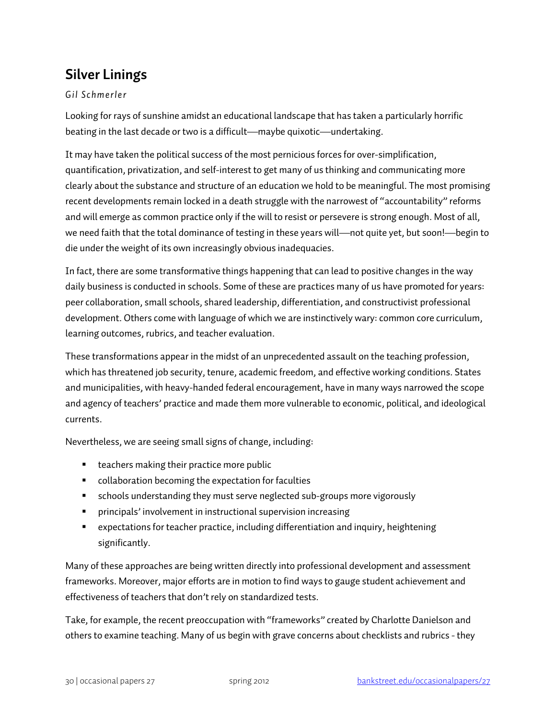# **Silver Linings**

### *Gil Schmerler*

Looking for rays of sunshine amidst an educational landscape that has taken a particularly horrific beating in the last decade or two is a difficult—maybe quixotic—undertaking.

It may have taken the political success of the most pernicious forces for over-simplification, quantification, privatization, and self-interest to get many of us thinking and communicating more clearly about the substance and structure of an education we hold to be meaningful. The most promising recent developments remain locked in a death struggle with the narrowest of "accountability" reforms and will emerge as common practice only if the will to resist or persevere is strong enough. Most of all, we need faith that the total dominance of testing in these years will—not quite yet, but soon!—begin to die under the weight of its own increasingly obvious inadequacies.

In fact, there are some transformative things happening that can lead to positive changes in the way daily business is conducted in schools. Some of these are practices many of us have promoted for years: peer collaboration, small schools, shared leadership, differentiation, and constructivist professional development. Others come with language of which we are instinctively wary: common core curriculum, learning outcomes, rubrics, and teacher evaluation.

These transformations appear in the midst of an unprecedented assault on the teaching profession, which has threatened job security, tenure, academic freedom, and effective working conditions. States and municipalities, with heavy-handed federal encouragement, have in many ways narrowed the scope and agency of teachers' practice and made them more vulnerable to economic, political, and ideological currents.

Nevertheless, we are seeing small signs of change, including:

- **teachers making their practice more public**
- collaboration becoming the expectation for faculties
- schools understanding they must serve neglected sub-groups more vigorously
- principals' involvement in instructional supervision increasing
- expectations for teacher practice, including differentiation and inquiry, heightening significantly.

Many of these approaches are being written directly into professional development and assessment frameworks. Moreover, major efforts are in motion to find ways to gauge student achievement and effectiveness of teachers that don't rely on standardized tests.

Take, for example, the recent preoccupation with "frameworks" created by Charlotte Danielson and others to examine teaching. Many of us begin with grave concerns about checklists and rubrics - they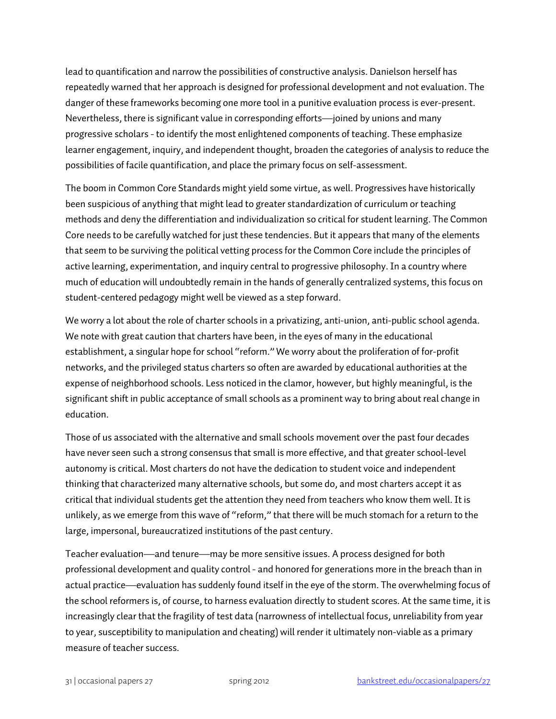lead to quantification and narrow the possibilities of constructive analysis. Danielson herself has repeatedly warned that her approach is designed for professional development and not evaluation. The danger of these frameworks becoming one more tool in a punitive evaluation process is ever-present. Nevertheless, there is significant value in corresponding efforts—joined by unions and many progressive scholars - to identify the most enlightened components of teaching. These emphasize learner engagement, inquiry, and independent thought, broaden the categories of analysis to reduce the possibilities of facile quantification, and place the primary focus on self-assessment.

The boom in Common Core Standards might yield some virtue, as well. Progressives have historically been suspicious of anything that might lead to greater standardization of curriculum or teaching methods and deny the differentiation and individualization so critical for student learning. The Common Core needs to be carefully watched for just these tendencies. But it appears that many of the elements that seem to be surviving the political vetting process for the Common Core include the principles of active learning, experimentation, and inquiry central to progressive philosophy. In a country where much of education will undoubtedly remain in the hands of generally centralized systems, this focus on student-centered pedagogy might well be viewed as a step forward.

We worry a lot about the role of charter schools in a privatizing, anti-union, anti-public school agenda. We note with great caution that charters have been, in the eyes of many in the educational establishment, a singular hope for school "reform." We worry about the proliferation of for-profit networks, and the privileged status charters so often are awarded by educational authorities at the expense of neighborhood schools. Less noticed in the clamor, however, but highly meaningful, is the significant shift in public acceptance of small schools as a prominent way to bring about real change in education.

Those of us associated with the alternative and small schools movement over the past four decades have never seen such a strong consensus that small is more effective, and that greater school-level autonomy is critical. Most charters do not have the dedication to student voice and independent thinking that characterized many alternative schools, but some do, and most charters accept it as critical that individual students get the attention they need from teachers who know them well. It is unlikely, as we emerge from this wave of "reform," that there will be much stomach for a return to the large, impersonal, bureaucratized institutions of the past century.

Teacher evaluation—and tenure—may be more sensitive issues. A process designed for both professional development and quality control - and honored for generations more in the breach than in actual practice—evaluation has suddenly found itself in the eye of the storm. The overwhelming focus of the school reformers is, of course, to harness evaluation directly to student scores. At the same time, it is increasingly clear that the fragility of test data (narrowness of intellectual focus, unreliability from year to year, susceptibility to manipulation and cheating) will render it ultimately non-viable as a primary measure of teacher success.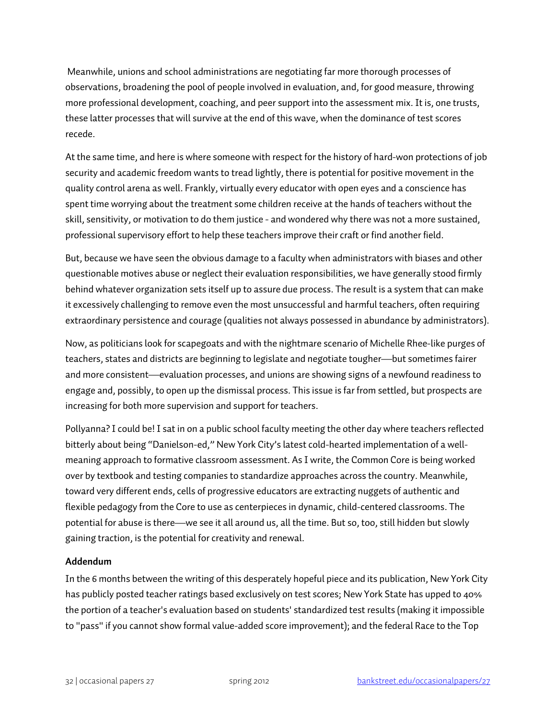Meanwhile, unions and school administrations are negotiating far more thorough processes of observations, broadening the pool of people involved in evaluation, and, for good measure, throwing more professional development, coaching, and peer support into the assessment mix. It is, one trusts, these latter processes that will survive at the end of this wave, when the dominance of test scores recede.

At the same time, and here is where someone with respect for the history of hard-won protections of job security and academic freedom wants to tread lightly, there is potential for positive movement in the quality control arena as well. Frankly, virtually every educator with open eyes and a conscience has spent time worrying about the treatment some children receive at the hands of teachers without the skill, sensitivity, or motivation to do them justice - and wondered why there was not a more sustained, professional supervisory effort to help these teachers improve their craft or find another field.

But, because we have seen the obvious damage to a faculty when administrators with biases and other questionable motives abuse or neglect their evaluation responsibilities, we have generally stood firmly behind whatever organization sets itself up to assure due process. The result is a system that can make it excessively challenging to remove even the most unsuccessful and harmful teachers, often requiring extraordinary persistence and courage (qualities not always possessed in abundance by administrators).

Now, as politicians look for scapegoats and with the nightmare scenario of Michelle Rhee-like purges of teachers, states and districts are beginning to legislate and negotiate tougher—but sometimes fairer and more consistent—evaluation processes, and unions are showing signs of a newfound readiness to engage and, possibly, to open up the dismissal process. This issue is far from settled, but prospects are increasing for both more supervision and support for teachers.

Pollyanna? I could be! I sat in on a public school faculty meeting the other day where teachers reflected bitterly about being "Danielson-ed," New York City's latest cold-hearted implementation of a wellmeaning approach to formative classroom assessment. As I write, the Common Core is being worked over by textbook and testing companies to standardize approaches across the country. Meanwhile, toward very different ends, cells of progressive educators are extracting nuggets of authentic and flexible pedagogy from the Core to use as centerpieces in dynamic, child-centered classrooms. The potential for abuse is there—we see it all around us, all the time. But so, too, still hidden but slowly gaining traction, is the potential for creativity and renewal.

### **Addendum**

In the 6 months between the writing of this desperately hopeful piece and its publication, New York City has publicly posted teacher ratings based exclusively on test scores; New York State has upped to 40% the portion of a teacher's evaluation based on students' standardized test results (making it impossible to "pass" if you cannot show formal value-added score improvement); and the federal Race to the Top